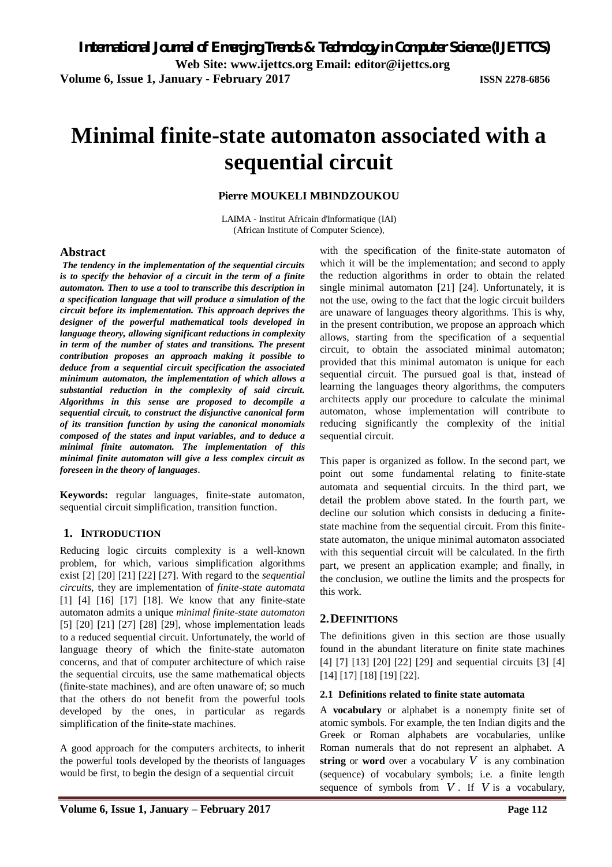# **Minimal finite-state automaton associated with a sequential circuit**

## **Pierre MOUKELI MBINDZOUKOU**

LAIMA - Institut Africain d'Informatique (IAI) (African Institute of Computer Science),

#### **Abstract**

*The tendency in the implementation of the sequential circuits is to specify the behavior of a circuit in the term of a finite automaton. Then to use a tool to transcribe this description in a specification language that will produce a simulation of the circuit before its implementation. This approach deprives the designer of the powerful mathematical tools developed in language theory, allowing significant reductions in complexity in term of the number of states and transitions. The present contribution proposes an approach making it possible to deduce from a sequential circuit specification the associated minimum automaton, the implementation of which allows a substantial reduction in the complexity of said circuit. Algorithms in this sense are proposed to decompile a sequential circuit, to construct the disjunctive canonical form of its transition function by using the canonical monomials composed of the states and input variables, and to deduce a minimal finite automaton. The implementation of this minimal finite automaton will give a less complex circuit as foreseen in the theory of languages*.

**Keywords:** regular languages, finite-state automaton, sequential circuit simplification, transition function.

# **1. INTRODUCTION**

Reducing logic circuits complexity is a well-known problem, for which, various simplification algorithms exist [2] [20] [21] [22] [27]. With regard to the *sequential circuits*, they are implementation of *finite-state automata*  [1] [4] [16] [17] [18]. We know that any finite-state automaton admits a unique *minimal finite-state automaton*  [5] [20] [21] [27] [28] [29], whose implementation leads to a reduced sequential circuit. Unfortunately, the world of language theory of which the finite-state automaton concerns, and that of computer architecture of which raise the sequential circuits, use the same mathematical objects (finite-state machines), and are often unaware of; so much that the others do not benefit from the powerful tools developed by the ones, in particular as regards simplification of the finite-state machines.

A good approach for the computers architects, to inherit the powerful tools developed by the theorists of languages would be first, to begin the design of a sequential circuit

with the specification of the finite-state automaton of which it will be the implementation; and second to apply the reduction algorithms in order to obtain the related single minimal automaton [21] [24]. Unfortunately, it is not the use, owing to the fact that the logic circuit builders are unaware of languages theory algorithms. This is why, in the present contribution, we propose an approach which allows, starting from the specification of a sequential circuit, to obtain the associated minimal automaton; provided that this minimal automaton is unique for each sequential circuit. The pursued goal is that, instead of learning the languages theory algorithms, the computers architects apply our procedure to calculate the minimal automaton, whose implementation will contribute to reducing significantly the complexity of the initial sequential circuit.

This paper is organized as follow. In the second part, we point out some fundamental relating to finite-state automata and sequential circuits. In the third part, we detail the problem above stated. In the fourth part, we decline our solution which consists in deducing a finitestate machine from the sequential circuit. From this finitestate automaton, the unique minimal automaton associated with this sequential circuit will be calculated. In the firth part, we present an application example; and finally, in the conclusion, we outline the limits and the prospects for this work.

### **2.DEFINITIONS**

The definitions given in this section are those usually found in the abundant literature on finite state machines [4] [7] [13] [20] [22] [29] and sequential circuits [3] [4] [14] [17] [18] [19] [22].

#### **2.1 Definitions related to finite state automata**

A **vocabulary** or alphabet is a nonempty finite set of atomic symbols. For example, the ten Indian digits and the Greek or Roman alphabets are vocabularies, unlike Roman numerals that do not represent an alphabet. A **string** or **word** over a vocabulary  $V$  is any combination (sequence) of vocabulary symbols; i.e. a finite length sequence of symbols from  $V$ . If  $V$  is a vocabulary,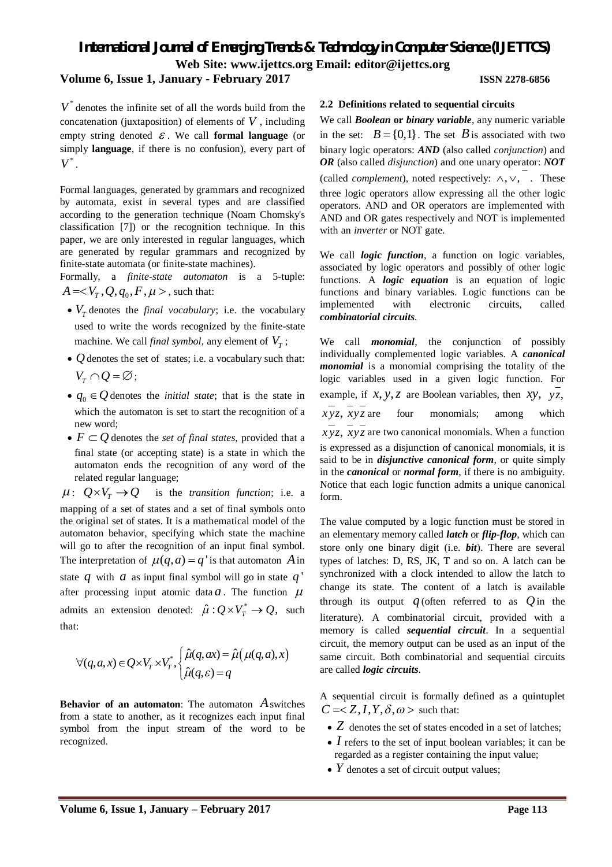# **Volume 6, Issue 1, January - February 2017 ISSN 2278-6856**

 $V^*$  denotes the infinite set of all the words build from the concatenation (juxtaposition) of elements of  $V$ , including empty string denoted  $\epsilon$ . We call **formal language** (or simply **language**, if there is no confusion), every part of  $V^*$ .

Formal languages, generated by grammars and recognized by automata, exist in several types and are classified according to the generation technique (Noam Chomsky's classification [7]) or the recognition technique. In this paper, we are only interested in regular languages, which are generated by regular grammars and recognized by finite-state automata (or finite-state machines).

Formally, a *finite-state automaton* is a 5-tuple:  $A =$ , such that:

- $V_T$  denotes the *final vocabulary*; i.e. the vocabulary used to write the words recognized by the finite-state machine. We call *final symbol*, any element of  $V<sub>T</sub>$ ;
- $\bullet$  *Q* denotes the set of states; i.e. a vocabulary such that:  $V_r \cap Q = \varnothing$ ;
- $q_0 \in \mathcal{Q}$  denotes the *initial state*; that is the state in which the automaton is set to start the recognition of a new word;
- $F \subset Q$  denotes the *set of final states*, provided that a final state (or accepting state) is a state in which the automaton ends the recognition of any word of the related regular language;

 $\mu: Q \times V_\tau \to Q$  is the *transition function*; i.e. a mapping of a set of states and a set of final symbols onto the original set of states. It is a mathematical model of the automaton behavior, specifying which state the machine will go to after the recognition of an input final symbol. The interpretation of  $\mu(q, a) = q'$  is that automaton *A* in state  $q$  with  $a$  as input final symbol will go in state  $q'$ after processing input atomic data  $a$ . The function  $\mu$ admits an extension denoted:  $\hat{\mu}: Q \times V_T^* \to Q$ , such that:

$$
\forall (q,a,x) \in Q \times V_T \times V_T^*, \begin{cases} \hat{\mu}(q,ax) = \hat{\mu}(\mu(q,a),x) \\ \hat{\mu}(q,\varepsilon) = q \end{cases}
$$

**Behavior of an automaton**: The automaton *A*switches from a state to another, as it recognizes each input final symbol from the input stream of the word to be recognized.

#### **2.2 Definitions related to sequential circuits**

We call *Boolean* **or** *binary variable*, any numeric variable in the set:  $B = \{0,1\}$ . The set *B* is associated with two binary logic operators: *AND* (also called *conjunction*) and *OR* (also called *disjunction*) and one unary operator: *NOT* (called *complement*), noted respectively:  $\wedge$ ,  $\vee$ , These three logic operators allow expressing all the other logic operators. AND and OR operators are implemented with AND and OR gates respectively and NOT is implemented with an *inverter* or NOT gate.

We call *logic function*, a function on logic variables, associated by logic operators and possibly of other logic functions. A *logic equation* is an equation of logic functions and binary variables. Logic functions can be implemented with electronic circuits, called *combinatorial circuits.*

We call *monomial*, the conjunction of possibly individually complemented logic variables. A *canonical monomial* is a monomial comprising the totality of the logic variables used in a given logic function. For example, if  $x$ ,  $y$ ,  $z$  are Boolean variables, then  $xy$ ,  $yz$ ,  $\overline{xyz}$ ,  $\overline{xyz}$  are four monomials; among which *x yz*, *xyz* are two canonical monomials. When a function is expressed as a disjunction of canonical monomials, it is said to be in *disjunctive canonical form*, or quite simply in the *canonical* or *normal form*, if there is no ambiguity. Notice that each logic function admits a unique canonical form.

The value computed by a logic function must be stored in an elementary memory called *latch* or *flip-flop*, which can store only one binary digit (i.e. *bit*). There are several types of latches: D, RS, JK, T and so on. A latch can be synchronized with a clock intended to allow the latch to change its state. The content of a latch is available through its output  $q$  (often referred to as  $Q$  in the literature). A combinatorial circuit, provided with a memory is called *sequential circuit*. In a sequential circuit, the memory output can be used as an input of the same circuit. Both combinatorial and sequential circuits are called *logic circuits*.

A sequential circuit is formally defined as a quintuplet  $C =$  such that:

- *Z* denotes the set of states encoded in a set of latches;
- I refers to the set of input boolean variables; it can be regarded as a register containing the input value;
- *Y* denotes a set of circuit output values;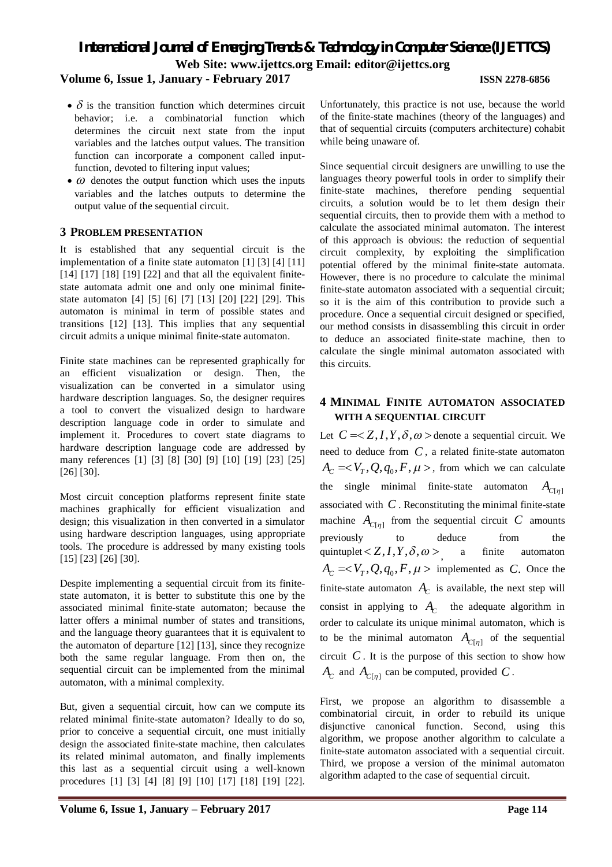- **Volume 6, Issue 1, January - February 2017 ISSN 2278-6856**
	- $\delta$  is the transition function which determines circuit behavior; i.e. a combinatorial function which determines the circuit next state from the input variables and the latches output values. The transition function can incorporate a component called inputfunction, devoted to filtering input values;
	- $\bullet$   $\omega$  denotes the output function which uses the inputs variables and the latches outputs to determine the output value of the sequential circuit.

#### **3 PROBLEM PRESENTATION**

It is established that any sequential circuit is the implementation of a finite state automaton [1] [3] [4] [11] [14] [17] [18] [19] [22] and that all the equivalent finitestate automata admit one and only one minimal finitestate automaton [4] [5] [6] [7] [13] [20] [22] [29]. This automaton is minimal in term of possible states and transitions [12] [13]. This implies that any sequential circuit admits a unique minimal finite-state automaton.

Finite state machines can be represented graphically for an efficient visualization or design. Then, the visualization can be converted in a simulator using hardware description languages. So, the designer requires a tool to convert the visualized design to hardware description language code in order to simulate and implement it. Procedures to covert state diagrams to hardware description language code are addressed by many references [1] [3] [8] [30] [9] [10] [19] [23] [25] [26] [30].

Most circuit conception platforms represent finite state machines graphically for efficient visualization and design; this visualization in then converted in a simulator using hardware description languages, using appropriate tools. The procedure is addressed by many existing tools [15] [23] [26] [30].

Despite implementing a sequential circuit from its finitestate automaton, it is better to substitute this one by the associated minimal finite-state automaton; because the latter offers a minimal number of states and transitions, and the language theory guarantees that it is equivalent to the automaton of departure [12] [13], since they recognize both the same regular language. From then on, the sequential circuit can be implemented from the minimal automaton, with a minimal complexity.

But, given a sequential circuit, how can we compute its related minimal finite-state automaton? Ideally to do so, prior to conceive a sequential circuit, one must initially design the associated finite-state machine, then calculates its related minimal automaton, and finally implements this last as a sequential circuit using a well-known procedures [1] [3] [4] [8] [9] [10] [17] [18] [19] [22]. Unfortunately, this practice is not use, because the world of the finite-state machines (theory of the languages) and that of sequential circuits (computers architecture) cohabit while being unaware of.

Since sequential circuit designers are unwilling to use the languages theory powerful tools in order to simplify their finite-state machines, therefore pending sequential circuits, a solution would be to let them design their sequential circuits, then to provide them with a method to calculate the associated minimal automaton. The interest of this approach is obvious: the reduction of sequential circuit complexity, by exploiting the simplification potential offered by the minimal finite-state automata. However, there is no procedure to calculate the minimal finite-state automaton associated with a sequential circuit: so it is the aim of this contribution to provide such a procedure. Once a sequential circuit designed or specified, our method consists in disassembling this circuit in order to deduce an associated finite-state machine, then to calculate the single minimal automaton associated with this circuits.

# **4 MINIMAL FINITE AUTOMATON ASSOCIATED WITH A SEQUENTIAL CIRCUIT**

Let  $C = \langle Z, I, Y, \delta, \omega \rangle$  denote a sequential circuit. We need to deduce from *C* , a related finite-state automaton  $A_c = < V_T, Q, q_0, F, \mu >$ , from which we can calculate the single minimal finite-state automaton  $A_{C[n]}$ associated with *C* . Reconstituting the minimal finite-state machine  $A_{C[\eta]}$  from the sequential circuit *C* amounts previously to deduce from the quintuplet  $Z, I, Y, \delta, \omega$  > a finite automaton  $A_C = < V_T, Q, q_0, F, \mu > \text{ implemented as } C.$  Once the finite-state automaton  $A_C$  is available, the next step will consist in applying to  $A_C$  the adequate algorithm in order to calculate its unique minimal automaton, which is to be the minimal automaton  $A_{C[\eta]}$  of the sequential circuit  $C$ . It is the purpose of this section to show how  $A_C$  and  $A_{C[\eta]}$  can be computed, provided *C*.

First, we propose an algorithm to disassemble a combinatorial circuit, in order to rebuild its unique disjunctive canonical function. Second, using this algorithm, we propose another algorithm to calculate a finite-state automaton associated with a sequential circuit. Third, we propose a version of the minimal automaton algorithm adapted to the case of sequential circuit.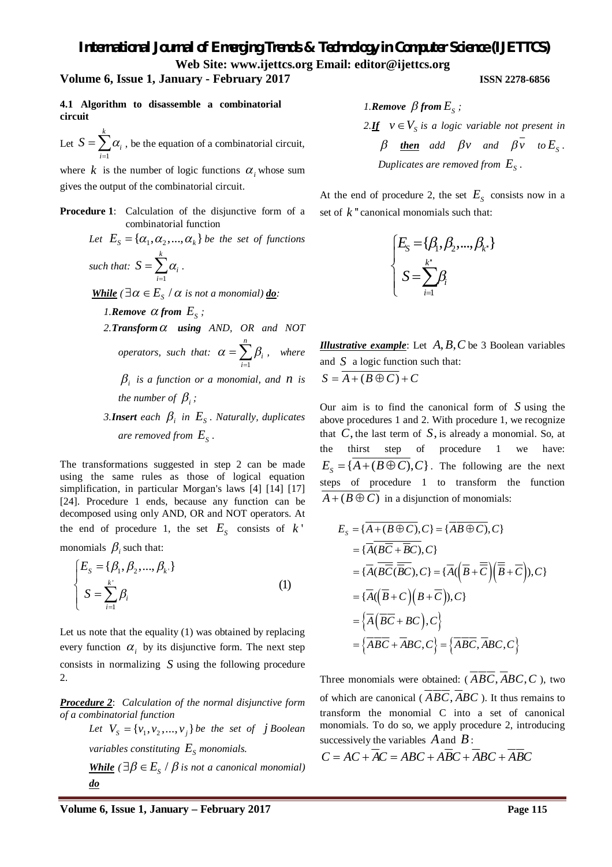#### **Volume 6, Issue 1, January - February 2017 ISSN 2278-6856**

**4.1 Algorithm to disassemble a combinatorial circuit**

Let 1 *k*  $S = \sum \alpha_i$ , be the equation of a combinatorial circuit, *i* =

where  $k$  is the number of logic functions  $\alpha$ , whose sum gives the output of the combinatorial circuit.

**Procedure 1:** Calculation of the disjunctive form of a combinatorial function

Let 
$$
E_S = {\alpha_1, \alpha_2, ..., \alpha_k}
$$
 be the set of functions  
such that:  $S = \sum_{i=1}^{k} \alpha_i$ .

*While* ( $\exists \alpha \in E_s \land \alpha$  *is not a monomial)* <u>*do*</u>*:* 

- *1.***Remove**  $\alpha$  from  $E_s$ ;  $2.$ *Transform*  $\alpha$  using AND, OR and NOT *operators, such that:*  1 *n i i*  $\alpha = \sum \beta_i$  $=\sum_{i=1}\beta_i$ , where  $\beta_i$  *is a function or a monomial, and n is the number of*  $\beta_i$ ;
- *3.Insert each*  $\beta_i$  *in*  $E_s$ *. Naturally, duplicates* are removed from  $E_{\rm s}$  .

The transformations suggested in step 2 can be made using the same rules as those of logical equation simplification, in particular Morgan's laws [4] [14] [17] [24]. Procedure 1 ends, because any function can be decomposed using only AND, OR and NOT operators. At the end of procedure 1, the set  $E<sub>S</sub>$  consists of  $k'$ 

monomials  $\beta_i$  such that:

$$
\begin{cases}\nE_s = \{\beta_1, \beta_2, ..., \beta_k\} \\
S = \sum_{i=1}^{k'} \beta_i\n\end{cases}
$$
\n(1)

Let us note that the equality (1) was obtained by replacing every function  $\alpha_i$  by its disjunctive form. The next step consists in normalizing *S* using the following procedure 2.

*Procedure 2*: *Calculation of the normal disjunctive form of a combinatorial function*

> *Let*  $V_s = \{v_1, v_2, ..., v_j\}$  *be the set of j Boolean variables constituting*  $E_s$  *monomials.*

**While** 
$$
(\exists \beta \in E_s / \beta \text{ is not a canonical monomial})
$$
  
**do**

*1. Remove*  $\beta$  *from*  $E_s$ ; 2.*If*  $v \in V_s$  *is a logic variable not present in*  $\beta$  **then** add  $\beta v$  and  $\beta v$  to  $E_s$ . Duplicates are removed from  $E_{\rm s}$  .

At the end of procedure 2, the set  $E<sub>S</sub>$  consists now in a set of  $k$ <sup>"</sup> canonical monomials such that:

$$
\begin{cases}\nE_{\mathcal{S}} = \{\beta_1, \beta_2, ..., \beta_{k^*}\} \\
\mathcal{S} = \sum_{i=1}^{k^*} \beta_i\n\end{cases}
$$

*Illustrative example*: Let *A, B, C* be 3 Boolean variables and *S* a logic function such that:  $S = \overline{A + (B \oplus C)} + C$ 

Our aim is to find the canonical form of *S* using the above procedures 1 and 2. With procedure 1, we recognize that  $C$ , the last term of  $S$ , is already a monomial. So, at the thirst step of procedure 1 we have:  ${E_s} = {A + (B \oplus C), C}$ . The following are the next steps of procedure 1 to transform the function  $A + (B \oplus C)$  in a disjunction of monomials:

$$
E_{S} = \{\overline{A + (B \oplus C)}, C\} = \{\overline{AB \oplus C}, C\}
$$
  
\n
$$
= \{\overline{A}(\overline{B}\overline{C} + \overline{B}C), C\}
$$
  
\n
$$
= \{\overline{A}(\overline{B}\overline{C}(\overline{B}C), C\} = \{\overline{A}(\overline{B} + \overline{C})(\overline{B} + \overline{C})\}, C\}
$$
  
\n
$$
= \{\overline{A}(\overline{B} + C)(B + \overline{C}), C\}
$$
  
\n
$$
= \{\overline{A}(\overline{B}\overline{C} + BC), C\}
$$
  
\n
$$
= \{\overline{A}\overline{B}\overline{C} + \overline{A}BC, C\} = \{\overline{A}\overline{B}\overline{C}, \overline{A}BC, C\}
$$

Three monomials were obtained:  $(\overline{ABC}, \overline{ABC}, \overline{C})$ , two of which are canonical ( $\overline{ABC}$ ,  $\overline{ABC}$ ). It thus remains to transform the monomial C into a set of canonical monomials. To do so, we apply procedure 2, introducing successively the variables *A*and *B*:

$$
C = AC + AC = ABC + \overline{ABC + ABC + ABC}
$$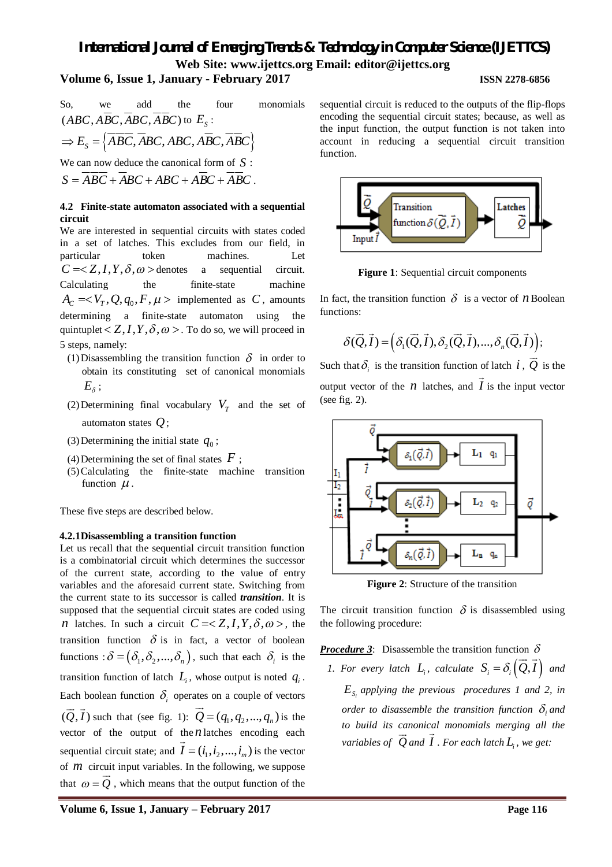# **Volume 6, Issue 1, January - February 2017 ISSN 2278-6856**

So, we add the four monomials  
\n
$$
(ABC, \overline{ABC}, \overline{ABC}, \overline{ABC})
$$
 to  $E_s$ :  
\n $\Rightarrow E_s = \{ \overline{ABC}, \overline{ABC}, \overline{ABC}, \overline{ABC}, \overline{ABC} \}$   
\nWe can now deduce the canonical form of  $S$ :

 $S = \overline{ABC} + \overline{ABC} + \overline{ABC} + \overline{ABC} + \overline{ABC}$ 

### **4.2 Finite-state automaton associated with a sequential circuit**

We are interested in sequential circuits with states coded in a set of latches. This excludes from our field, in particular token machines. Let  $C = \langle Z, I, Y, \delta, \omega \rangle$  denotes a sequential circuit. Calculating the finite-state machine  $A_C = < V_T, Q, q_0, F, \mu > \text{ implemented as } C, \text{ amounts}$ determining a finite-state automaton using the quintuplet  $Z, I, Y, \delta, \omega >$ . To do so, we will proceed in 5 steps, namely:

- (1) Disassembling the transition function  $\delta$  in order to obtain its constituting set of canonical monomials  $E_{\delta}$  ;
- (2) Determining final vocabulary  $V_T$  and the set of automaton states *Q*;
- (3) Determining the initial state  $q_0$ ;
- (4) Determining the set of final states  $F$ ;
- (5)Calculating the finite-state machine transition function  $\mu$ .

These five steps are described below.

#### **4.2.1Disassembling a transition function**

Let us recall that the sequential circuit transition function is a combinatorial circuit which determines the successor of the current state, according to the value of entry variables and the aforesaid current state. Switching from the current state to its successor is called *transition*. It is supposed that the sequential circuit states are coded using *n* latches. In such a circuit  $C = \langle Z, I, Y, \delta, \omega \rangle$ , the transition function  $\delta$  is in fact, a vector of boolean functions :  $\delta = (\delta_1, \delta_2, ..., \delta_n)$ , such that each  $\delta_i$  is the transition function of latch  $L_i$ , whose output is noted  $q_i$ . Each boolean function  $\delta_i$  operates on a couple of vectors  $(Q, I)$   $\mathfrak s$  $\rightarrow$   $\rightarrow$ such that (see fig. 1):  $Q = (q_1, q_2, ..., q_n)$  *i*.  $\overline{\phantom{a}}$ is the vector of the output of the *n* latches encoding each sequential circuit state; and  $I = (i_1, i_2, ..., i_m)$  is the vector of *m* circuit input variables. In the following, we suppose that  $\omega = Q$ , which means that the output function of the

sequential circuit is reduced to the outputs of the flip-flops encoding the sequential circuit states; because, as well as the input function, the output function is not taken into account in reducing a sequential circuit transition function.



**Figure 1**: Sequential circuit components

In fact, the transition function  $\delta$  is a vector of *n* Boolean functions:

$$
\delta(\vec{Q},\vec{I}) = (\delta_1(\vec{Q},\vec{I}), \delta_2(\vec{Q},\vec{I}), ..., \delta_n(\vec{Q},\vec{I}));
$$

Such that  $\delta_i$  is the transition function of latch  $i$ ,  $\overline{Q}$ of latch  $i$ ,  $Q$  is the output vector of the  $n$  latches, and  $I$  is the input vector (see fig. 2).



**Figure 2**: Structure of the transition

The circuit transition function  $\delta$  is disassembled using the following procedure:

**Procedure 3**: Disassemble the transition function  $\delta$ 

*1. For every latch*  $L_i$ *, calculate*  $S_i = \delta_i(Q, I)$  and  $E_{S_i}$  applying the previous procedures 1 and 2, in *order to disassemble the transition function*  $\delta_i$  *and to build its canonical monomials merging all the variables of Q and I . For each latch L<sup>i</sup> , we get:*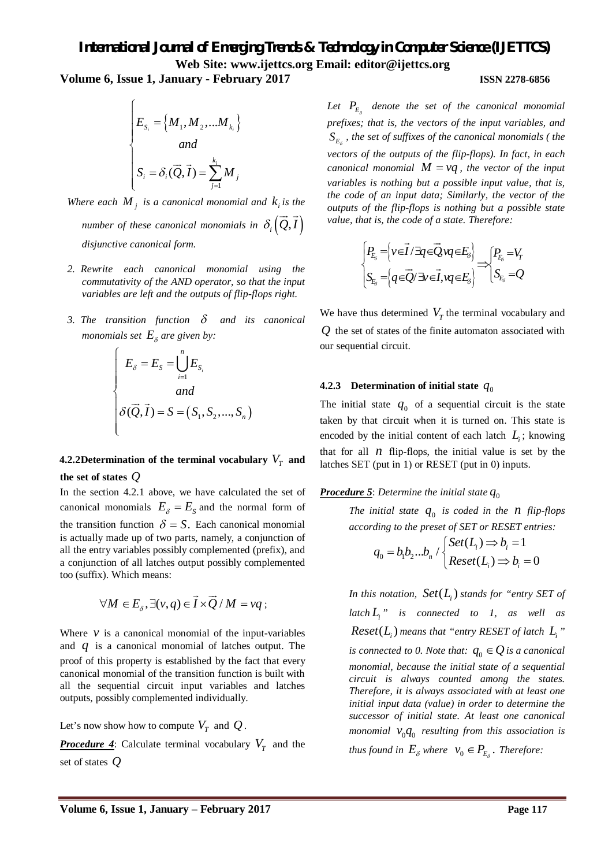**Volume 6, Issue 1, January - February 2017 ISSN 2278-6856**

$$
\begin{cases}\nE_{S_i} = \left\{ M_1, M_2, \dots, M_{k_i} \right\} \\
and \\
S_i = \delta_i(\vec{Q}, \vec{I}) = \sum_{j=1}^{k_i} M_j\n\end{cases}
$$

*Where each*  $M<sub>j</sub>$  *is a canonical monomial and*  $k<sub>i</sub>$  *is the number of these canonical monomials in*  $\delta_i(Q, I)$  $\rightarrow$   $\rightarrow$ *disjunctive canonical form.*

- *2. Rewrite each canonical monomial using the commutativity of the AND operator, so that the input variables are left and the outputs of flip-flops right.*
- 3. The transition function  $\delta$  and its canonical *monomials set*  $E_{\delta}$  are given by:

$$
\begin{cases}\nE_{\delta} = E_{S} = \bigcup_{i=1}^{n} E_{S_{i}} \\
and \\
\delta(\vec{Q}, \vec{I}) = S = (S_{1}, S_{2}, ..., S_{n})\n\end{cases}
$$

# **4.2.2Determination of the terminal vocabulary**  $V_T$  **and the set of states** *Q*

In the section 4.2.1 above, we have calculated the set of canonical monomials  $E_{\delta} = E_{S}$  and the normal form of the transition function  $\delta = S$ . Each canonical monomial is actually made up of two parts, namely, a conjunction of all the entry variables possibly complemented (prefix), and a conjunction of all latches output possibly complemented too (suffix). Which means:

$$
\forall M \in E_{\delta}, \exists (v, q) \in \vec{I} \times \vec{Q} / M = vq;
$$

Where  $\nu$  is a canonical monomial of the input-variables and *q* is a canonical monomial of latches output. The proof of this property is established by the fact that every canonical monomial of the transition function is built with all the sequential circuit input variables and latches outputs, possibly complemented individually.

Let's now show how to compute  $V_T$  and  $Q$ .

*Procedure 4*: Calculate terminal vocabulary  $V_T$  and the set of states *Q*

*Let P<sup>E</sup> denote the set of the canonical monomial prefixes; that is, the vectors of the input variables, and*   $S_{E_s}$ , the set of suffixes of the canonical monomials ( the *vectors of the outputs of the flip-flops). In fact, in each canonical monomial*  $M = vq$ , the vector of the input *variables is nothing but a possible input value, that is, the code of an input data; Similarly, the vector of the outputs of the flip-flops is nothing but a possible state value, that is, the code of a state. Therefore:*

$$
\begin{cases} P_{E_{\delta}} = \left\{ v \in \vec{I} / \exists q \in \vec{Q}, vq \in E_{\delta} \right\} \\ S_{E_{\delta}} = \left\{ q \in \vec{Q} / \exists v \in \vec{I}, vq \in E_{\delta} \right\} \end{cases} \Longrightarrow \begin{cases} P_{E_{\delta}} = V_T \\ S_{E_{\delta}} = Q \end{cases}
$$

We have thus determined  $V_T$  the terminal vocabulary and *Q* the set of states of the finite automaton associated with our sequential circuit.

# **4.2.3 Determination of initial state**  $q_0$

The initial state  $q_0$  of a sequential circuit is the state taken by that circuit when it is turned on. This state is encoded by the initial content of each latch  $L_i$ ; knowing that for all  $n$  flip-flops, the initial value is set by the latches SET (put in 1) or RESET (put in 0) inputs.

# **Procedure 5**: Determine the initial state  $q_0$

*The initial state*  $q_0$  *is coded in the n flip-flops according to the preset of SET or RESET entries:*

$$
q_0 = b_1 b_2 ... b_n / \begin{cases} Set(L_i) \implies b_i = 1 \\ Reset(L_i) \implies b_i = 0 \end{cases}
$$

In this notation,  $\; Set(L_i)$  stands for "entry SET of *latch L<sup>i</sup> " is connected to 1, as well as*  $\textit{Reset}(L_i)$  means that "entry RESET of latch  $L_i$ " *is connected to 0. Note that:*  $q_0 \in Q$  *is a canonical monomial, because the initial state of a sequential circuit is always counted among the states. Therefore, it is always associated with at least one initial input data (value) in order to determine the successor of initial state. At least one canonical monomial*  $V_0 q_0$  *resulting from this association is thus found in*  $E_{\delta}$  *where*  $v_0 \in P_{E_{\delta}}$ *. Therefore:*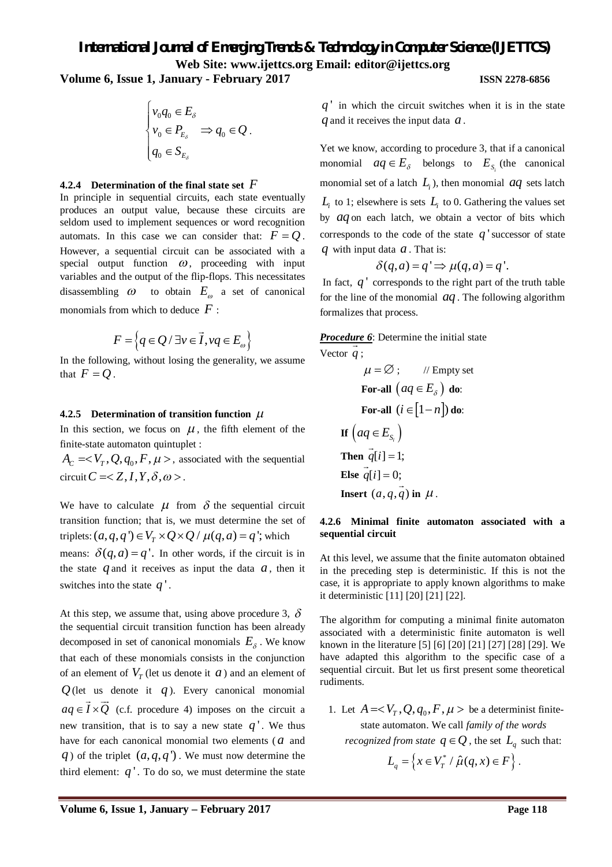**Volume 6, Issue 1, January - February 2017 ISSN 2278-6856**

$$
\begin{cases} v_0 q_0 \in E_{\delta} \\ v_0 \in P_{E_{\delta}} \implies q_0 \in Q \\ q_0 \in S_{E_{\delta}} \end{cases}
$$

#### **4.2.4 Determination of the final state set** *F*

In principle in sequential circuits, each state eventually produces an output value, because these circuits are seldom used to implement sequences or word recognition automats. In this case we can consider that:  $F = O$ . However, a sequential circuit can be associated with a special output function  $\omega$ , proceeding with input variables and the output of the flip-flops. This necessitates disassembling  $\omega$  to obtain  $E_{\omega}$  a set of canonical monomials from which to deduce *F* :

$$
F = \left\{ q \in Q / \exists v \in \vec{I}, vq \in E_{\omega} \right\}
$$

In the following, without losing the generality, we assume that  $F = Q$ .

#### **4.2.5 Determination of transition function**

In this section, we focus on  $\mu$ , the fifth element of the finite-state automaton quintuplet :

 $A_C = < V_T, Q, q_0, F, \mu >$ , associated with the sequential circuit  $C = \langle Z, I, Y, \delta, \omega \rangle$ .

We have to calculate  $\mu$  from  $\delta$  the sequential circuit transition function; that is, we must determine the set of triplets:  $(a, q, q') \in V_T \times Q \times Q / \mu(q, a) = q'$ ; which means:  $\delta(q, a) = q'$ . In other words, if the circuit is in the state  $q$  and it receives as input the data  $a$ , then it switches into the state *q* ' .

At this step, we assume that, using above procedure 3,  $\delta$ the sequential circuit transition function has been already decomposed in set of canonical monomials  $E_{\delta}$ . We know that each of these monomials consists in the conjunction of an element of  $V_T$  (let us denote it  $a$ ) and an element of  $Q$ (let us denote it *q*). Every canonical monomial  $aq \in I \times Q$  (c.f. procedure 4) imposes on the circuit a new transition, that is to say a new state  $q'$ . We thus have for each canonical monomial two elements (a and *q*) of the triplet  $(a, q, q')$ . We must now determine the third element:  $q'$ . To do so, we must determine the state

*q* ' in which the circuit switches when it is in the state *q* and it receives the input data *a* .

Yet we know, according to procedure 3, that if a canonical monomial  $aq \in E_{\delta}$  belongs to  $E_{S_i}$  (the canonical monomial set of a latch  $L$ <sub>*i*</sub>), then monomial  $aq$  sets latch  $L_i$  to 1; elsewhere is sets  $L_i$  to 0. Gathering the values set by *aq* on each latch, we obtain a vector of bits which corresponds to the code of the state  $q'$  successor of state *q* with input data *a* . That is:

$$
\delta(q, a) = q' \Rightarrow \mu(q, a) = q'.
$$

In fact, *q* ' corresponds to the right part of the truth table for the line of the monomial *aq* . The following algorithm formalizes that process.

*Procedure 6*: Determine the initial state Vector *q* ;

$$
\mu = \varnothing; \qquad \text{//Empty set}
$$
  
For-all  $(aq \in E_{\delta})$  do:  
For-all  $(i \in [1-n])$  do:  
If  $(aq \in E_{S_i})$   
Then  $q[i] = 1$ ;  
Else  $q[i] = 0$ ;  
Insert  $(a, q, \overrightarrow{q})$  in  $\mu$ .

#### **4.2.6 Minimal finite automaton associated with a sequential circuit**

At this level, we assume that the finite automaton obtained in the preceding step is deterministic. If this is not the case, it is appropriate to apply known algorithms to make it deterministic [11] [20] [21] [22].

The algorithm for computing a minimal finite automaton associated with a deterministic finite automaton is well known in the literature [5] [6] [20] [21] [27] [28] [29]. We have adapted this algorithm to the specific case of a sequential circuit. But let us first present some theoretical rudiments.

1. Let  $A = < V_T$ ,  $Q$ ,  $q_0$ ,  $F$ ,  $\mu$  > be a determinist finitestate automaton. We call *family of the words recognized from state*  $q \in \mathcal{Q}$ , the set  $L_q$  such that:

$$
L_q = \left\{ x \in V_T^* / \hat{\mu}(q, x) \in F \right\}.
$$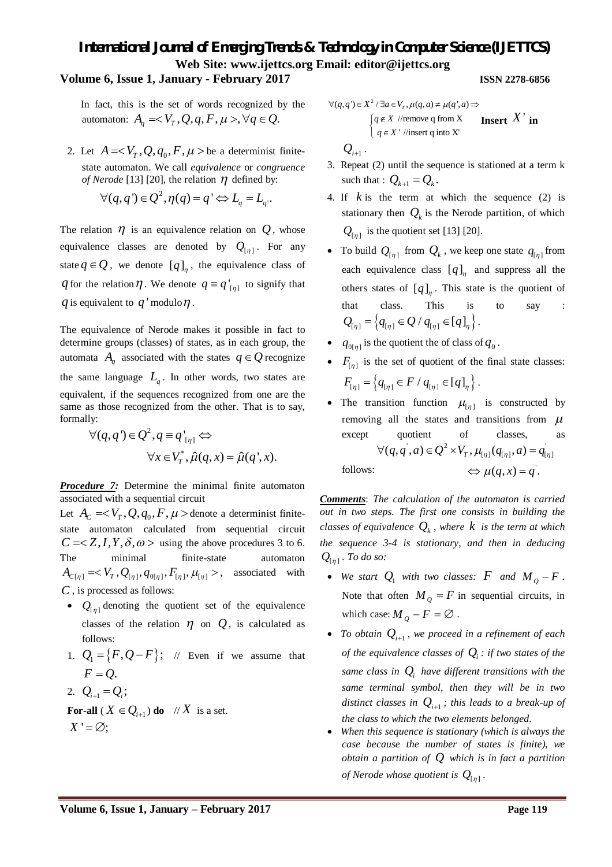### **Volume 6, Issue 1, January - February 2017 ISSN 2278-6856**

In fact, this is the set of words recognized by the automaton:  $A_a = \langle V_T, Q, q, F, \mu \rangle, \forall q \in Q$ .

2. Let  $A =$  be a determinist finitestate automaton. We call *equivalence* or *congruence of Nerode* [13] [20], the relation  $\eta$  defined by:

$$
\forall (q,q') \in Q^2, \eta(q) = q' \Leftrightarrow L_q = L_q.
$$

The relation  $\eta$  is an equivalence relation on  $Q$ , whose equivalence classes are denoted by  $Q_{[\eta]}$ . For any state  $q \in \mathcal{Q}$ , we denote  $[q]_q$ , the equivalence class of *q* for the relation  $\eta$ . We denote  $q \equiv q'_{\lfloor \eta \rfloor}$  to signify that *q* is equivalent to  $q'$  modulo  $\eta$ .

The equivalence of Nerode makes it possible in fact to determine groups (classes) of states, as in each group, the automata  $A_q$  associated with the states  $q \in Q$  recognize the same language  $L_q$ . In other words, two states are equivalent, if the sequences recognized from one are the same as those recognized from the other. That is to say, formally:

$$
\forall (q, q') \in Q^2, q \equiv q'_{[\eta]} \Leftrightarrow
$$
  

$$
\forall x \in V_T^*, \hat{\mu}(q, x) = \hat{\mu}(q', x).
$$

*Procedure 7:* Determine the minimal finite automaton associated with a sequential circuit

Let  $A_c = < V_T, Q, q_0, F, \mu >$  denote a determinist finitestate automaton calculated from sequential circuit  $C = \langle Z, I, Y, \delta, \omega \rangle$  using the above procedures 3 to 6. The minimal finite-state automaton  $A_{C[\eta]} = \langle V_T, Q_{[\eta]}, q_{0[\eta]}, F_{[\eta]}, \mu_{[\eta]} \rangle$ , associated with *C* , is processed as follows:

- $Q_{[\eta]}$  denoting the quotient set of the equivalence classes of the relation  $\eta$  on  $Q$ , is calculated as follows:
- 1.  $Q_1 = \{F, Q F\}$ ; // Even if we assume that  $F = Q$ .
- 2.  $Q_{i+1} = Q_i;$

**For-all** ( $X \in Q_{i+1}$ ) **do** // X is a set.  $X' = \emptyset$ :

$$
\forall (q,q') \in X^2 / \exists a \in V_T, \mu(q,a) \neq \mu(q',a) \Rightarrow
$$
  
\n
$$
\begin{cases}\n q \notin X \text{ //remove } q \text{ from } X \\
 q \in X' \text{ /insert } q \text{ into } X'\n\end{cases}
$$
\n**Insert** X' **in**

$$
\mathcal{Q}_{\scriptscriptstyle i+1} \, .
$$

- 3. Repeat (2) until the sequence is stationed at a term k such that :  $Q_{k+1} = Q_k$ .
- 4. If *k* is the term at which the sequence (2) is stationary then  $Q_k$  is the Nerode partition, of which  $Q_{[\eta]}$  is the quotient set [13] [20].
- To build  $Q_{[\eta]}$  from  $Q_k$ , we keep one state  $q_{[\eta]}$  from each equivalence class  $[q]_{\eta}$  and suppress all the others states of  $[q]_n$ . This state is the quotient of that class. This is to say :  $Q_{[n]} = \{q_{[n]} \in Q / q_{[n]} \in [q]_n \}.$
- $\bullet$   $q_{0[\eta]}$  is the quotient the of class of  $q_0$ .
- $F_{[\eta]}$  is the set of quotient of the final state classes:  $F_{[\eta]} = \left\{ q_{[\eta]} \in F / q_{[\eta]} \in [q]_{\eta} \right\}.$
- The transition function  $\mu_{\lbrack \eta \rbrack}$  is constructed by removing all the states and transitions from  $\mu$ except quotient of classes, follows:  $\alpha$  =  $\Omega^2 vW$   $\mu$   $(a-a) = a'$  $\forall (q, q', a) \in Q^2 \times V_T, \mu_{[\eta]}(q_{[\eta]}, a) = q_{[\eta]}$  $\Leftrightarrow \mu(q, x) = q^{\prime}.$

*Comments*: *The calculation of the automaton is carried out in two steps. The first one consists in building the classes of equivalence*  $Q_k$ , where  $k$  *is the term at which the sequence 3-4 is stationary, and then in deducing*   $Q_{[\eta]}$ . To do so:

- We start  $Q_1$  *with two classes:*  $F$  *and*  $M_0 F$ . Note that often  $M_{\rho} = F$  in sequential circuits, in which case:  $M_{\Omega} - F = \emptyset$ .
- To obtain  $Q_{i+1}$ , we proceed in a refinement of each *of the equivalence classes of*  $Q$ *<sub><i>i*</sub>: *if two states of the same class in*  $Q_i$  *have different transitions with the same terminal symbol, then they will be in two distinct classes in*  $Q_{i+1}$ *; this leads to a break-up of the class to which the two elements belonged.*
- *When this sequence is stationary (which is always the case because the number of states is finite), we obtain a partition of Q which is in fact a partition of Nerode whose quotient is*  $Q_{[\eta]}$ .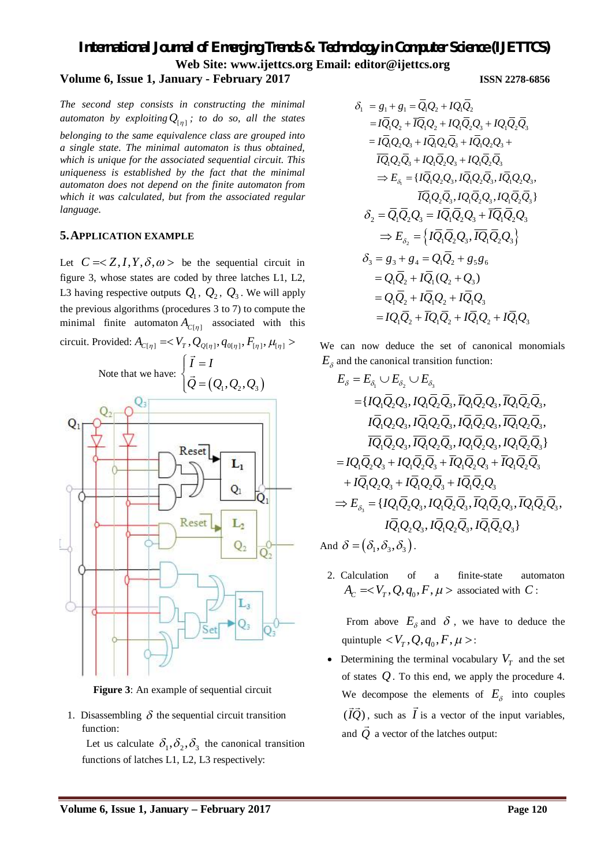# *International Journal of Emerging Trends & Technology in Computer Science (IJETTCS)* **Web Site: www.ijettcs.org Email: [editor@ijettcs.org](mailto:editor@ijettcs.org) Volume 6, Issue 1, January - February 2017 ISSN 2278-6856**

*The second step consists in constructing the minimal automaton by exploiting*  $Q_{[\eta]}$ ; to do so, all the states *belonging to the same equivalence class are grouped into a single state. The minimal automaton is thus obtained, which is unique for the associated sequential circuit. This uniqueness is established by the fact that the minimal automaton does not depend on the finite automaton from which it was calculated, but from the associated regular language.*

### **5.APPLICATION EXAMPLE**

Let  $C = \langle Z, I, Y, \delta, \omega \rangle$  be the sequential circuit in figure 3, whose states are coded by three latches L1, L2, L3 having respective outputs  $Q_1$ ,  $Q_2$ ,  $Q_3$ . We will apply the previous algorithms (procedures 3 to 7) to compute the minimal finite automaton  $A_{C[\eta]}$  associated with this



**Figure 3**: An example of sequential circuit

1. Disassembling  $\delta$  the sequential circuit transition function:

Let us calculate  $\delta_1, \delta_2, \delta_3$  the canonical transition functions of latches L1, L2, L3 respectively:

$$
\delta_1 = g_1 + g_1 = \overline{Q}_1 Q_2 + I Q_1 \overline{Q}_2
$$
  
=  $I \overline{Q}_1 Q_2 + \overline{I Q}_1 Q_2 + I Q_1 \overline{Q}_2 Q_3 + I Q_1 \overline{Q}_2 \overline{Q}_3$   
=  $I \overline{Q}_1 Q_2 Q_3 + I \overline{Q}_1 Q_2 \overline{Q}_3 + I \overline{Q}_1 Q_2 Q_3 + \overline{Q}_1 \overline{Q}_2 \overline{Q}_3 + \overline{Q}_1 \overline{Q}_2 \overline{Q}_3 + \overline{Q}_1 \overline{Q}_2 \overline{Q}_3 + \overline{Q}_1 \overline{Q}_2 \overline{Q}_3 + \overline{Q}_1 \overline{Q}_2 \overline{Q}_3 + \overline{Q}_1 \overline{Q}_2 \overline{Q}_3 + \overline{Q}_1 \overline{Q}_2 \overline{Q}_3 + \overline{Q}_1 \overline{Q}_2 \overline{Q}_3 + \overline{Q}_1 \overline{Q}_2 \overline{Q}_3 + \overline{Q}_1 \overline{Q}_2 \overline{Q}_3 + \overline{Q}_1 \overline{Q}_2 \overline{Q}_3 + \overline{Q}_1 \overline{Q}_2 \overline{Q}_3 + \overline{Q}_1 \overline{Q}_2 \overline{Q}_3 + \overline{Q}_1 \overline{Q}_2 \overline{Q}_3 + \overline{Q}_1 \overline{Q}_2 \overline{Q}_3 + \overline{Q}_1 \overline{Q}_2 \overline{Q}_3 + \overline{Q}_1 \overline{Q}_2 \overline{Q}_3 + \overline{Q}_1 \overline{Q}_2 \overline{Q}_3 + \overline{Q}_1 \overline{Q}_2 \overline{Q}_3 + \overline{Q}_1 \overline{Q}_2 \overline{Q}_3 + \overline{Q}_1 \overline{Q}_2 \overline{Q}_3 + \overline{Q}_1 \overline{Q}_2 \overline{Q}_3 + \overline{Q}_1 \overline{Q}_2 \overline{Q}_3 + \overline{Q}_1 \overline{Q}_2 \overline{Q}_3 + \overline{Q}_1 \overline{Q}_2 \overline{Q}_3 + \overline{Q}_1 \overline{Q}_2 \overline{Q}_3 + \overline{Q}_1 \overline{Q}_2 \overline{Q}_3 + \overline{Q}_1 \overline{$ 

$$
-iQ_1Q_2Q_3 + iQ_1Q_2Q_3 + iQ_1Q_2Q_3 +\n\overline{IQ}_1Q_2\overline{Q}_3 + iQ_1\overline{Q}_2Q_3 + iQ_1\overline{Q}_2\overline{Q}_3
$$
\n
$$
\Rightarrow E_{\delta_1} = \{I\overline{Q}_1Q_2Q_3, I\overline{Q}_1Q_2\overline{Q}_3, I\overline{Q}_1Q_2Q_3, \}
$$
\n
$$
\overline{IQ}_1Q_2\overline{Q}_3, IQ_1\overline{Q}_2Q_3, IQ_1\overline{Q}_2\overline{Q}_3\}
$$
\n
$$
\delta_2 = \overline{Q}_1\overline{Q}_2Q_3 = I\overline{Q}_1\overline{Q}_2Q_3 + \overline{IQ}_1\overline{Q}_2Q_3
$$
\n
$$
\Rightarrow E_{\delta_2} = \{I\overline{Q}_1\overline{Q}_2Q_3, I\overline{Q}_1\overline{Q}_2Q_3\}
$$
\n
$$
\delta_3 = g_3 + g_4 = Q_1\overline{Q}_2 + g_5g_6
$$
\n
$$
= Q_1\overline{Q}_2 + I\overline{Q}_1(Q_2 + Q_3)
$$
\n
$$
= Q_1\overline{Q}_2 + I\overline{Q}_1Q_2 + I\overline{Q}_1Q_3
$$
\n
$$
= IQ_1\overline{Q}_2 + \overline{IQ}_1\overline{Q}_2 + I\overline{Q}_1Q_2 + I\overline{Q}_1Q_3
$$

We can now deduce the set of canonical monomials  $E_{\delta}$  and the canonical transition function:

$$
E_{\delta} = E_{\delta_1} \cup E_{\delta_2} \cup E_{\delta_3}
$$
  
\n
$$
= \{IQ_1\overline{Q}_2Q_3, IQ_1\overline{Q}_2\overline{Q}_3, \overline{IQ}_1\overline{Q}_2Q_3, \overline{IQ}_1\overline{Q}_2\overline{Q}_3, \overline{IQ}_1\overline{Q}_2Q_3, \overline{IQ}_1\overline{Q}_2Q_3, \overline{IQ}_1\overline{Q}_2Q_3, \overline{IQ}_1\overline{Q}_2Q_3, \overline{IQ}_1\overline{Q}_2\overline{Q}_3, \overline{IQ}_1\overline{Q}_2Q_3, \overline{IQ}_1\overline{Q}_2\overline{Q}_3, \overline{IQ}_1\overline{Q}_2\overline{Q}_3, \overline{IQ}_1\overline{Q}_2\overline{Q}_3, \overline{IQ}_1\overline{Q}_2\overline{Q}_3, \overline{IQ}_1\overline{Q}_2\overline{Q}_3, \overline{IQ}_1\overline{Q}_2\overline{Q}_3, \overline{IQ}_1\overline{Q}_2\overline{Q}_3, \overline{IQ}_1\overline{Q}_2Q_3, \overline{IQ}_1\overline{Q}_2\overline{Q}_3, \overline{IQ}_1\overline{Q}_2Q_3, \overline{IQ}_1\overline{Q}_2\overline{Q}_3, \overline{IQ}_1\overline{Q}_2Q_3, \overline{IQ}_1\overline{Q}_2Q_3, \overline{IQ}_1\overline{Q}_2Q_3, \overline{IQ}_1\overline{Q}_2Q_3, \overline{IQ}_1\overline{Q}_2Q_3, \overline{IQ}_1\overline{Q}_2Q_3, \overline{IQ}_1\overline{Q}_2Q_3, \overline{IQ}_1\overline{Q}_2Q_3, \overline{IQ}_1\overline{Q}_2Q_3, \overline{IQ}_1\overline{Q}_2Q_3, \overline{IQ}_1\overline{Q}_2Q_3, \overline{Q}_1\overline{Q}_2Q_3, \overline{Q}_1\overline{Q}_2Q_3, \overline{Q}_1\overline{Q}_2Q_3, \overline{Q}_1\overline{Q}_2Q_3, \overline{Q}_1\overline{Q}_2Q_3, \overline{Q}_1\
$$

2. Calculation of a finite-state automaton  $A_C =$  associated with *C* :

From above  $E_{\delta}$  and  $\delta$ , we have to deduce the quintuple  $\langle V_T, Q, q_0, F, \mu \rangle$ :

• Determining the terminal vocabulary  $V_T$  and the set of states *Q*. To this end, we apply the procedure 4. We decompose the elements of  $E_{\delta}$  into couples  $(IQ),$  $\rightarrow \rightarrow$ , such as *I*  $\rightarrow$ is a vector of the input variables, and *Q*  $\frac{1}{2}$ a vector of the latches output: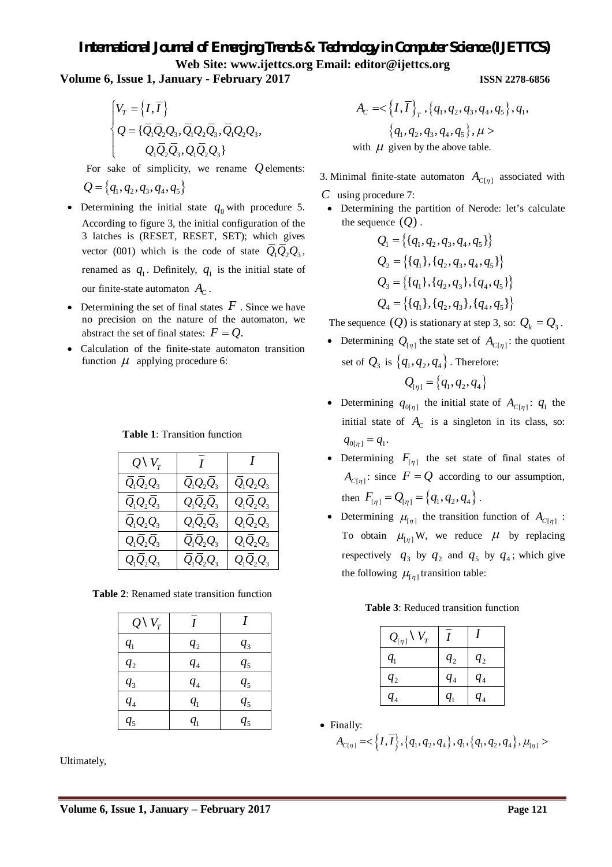**Volume 6, Issue 1, January - February 2017 ISSN 2278-6856**

$$
\begin{cases} V_T = \left\{ I, \overline{I} \right\} \\ Q = \left\{ \overline{Q}_1 \overline{Q}_2 Q_3, \overline{Q}_1 Q_2 \overline{Q}_3, \overline{Q}_1 Q_2 Q_3, \\ Q_1 \overline{Q}_2 \overline{Q}_3, Q_1 \overline{Q}_2 Q_3 \right\} \end{cases}
$$

For sake of simplicity, we rename *Q*elements:

$$
Q = \{q_1, q_2, q_3, q_4, q_5\}
$$

- Determining the initial state  $q_0$  with procedure 5. According to figure 3, the initial configuration of the 3 latches is (RESET, RESET, SET); which gives vector (001) which is the code of state  $\overline{Q}_1\overline{Q}_2Q_3$ , renamed as  $q_1$ . Definitely,  $q_1$  is the initial state of our finite-state automaton  $A_C$ .
- Determining the set of final states  $F$ . Since we have no precision on the nature of the automaton, we abstract the set of final states:  $F = Q$ .
- Calculation of the finite-state automaton transition function  $\mu$  applying procedure 6:

**Table 1**: Transition function

| $Q \setminus V_{\tau}$ | $\overline{I}$ | I           |
|------------------------|----------------|-------------|
| $Q_1Q_2Q_3$            | $Q_1Q_2Q_3$    | $Q_1Q_2Q_3$ |
| $Q_1Q_2Q_3$            | $Q_1Q_2Q_3$    | $Q_1Q_2Q_3$ |
| $Q_1Q_2Q_3$            | $Q_1Q_2Q_3$    | $Q_1Q_2Q_3$ |
| $Q_1Q_2Q_3$            | $Q_1Q_2Q_3$    | $Q_1Q_2Q_3$ |
| $Q_1Q_2Q_3$            | $Q_1Q_2Q_3$    | $Q_1Q_2Q_3$ |

**Table 2**: Renamed state transition function

| $Q\setminus V_{\tau}$      |                            |                |
|----------------------------|----------------------------|----------------|
| $q_{1}$                    | $q_{2}$                    | $q_{3}$        |
| $q_{2}$                    | $q_{4}$                    | q <sub>5</sub> |
| $q_3$                      | $q_{4}$                    | q <sub>5</sub> |
| $q_{\scriptscriptstyle 4}$ | $q_{1}$                    | q <sub>5</sub> |
| $q_{5}$                    | $q_{\scriptscriptstyle 1}$ | $q_{5}$        |

Ultimately,

$$
A_C = \langle \{I, \overline{I}\}_T, \{q_1, q_2, q_3, q_4, q_5\}, q_1,
$$
  

$$
\{q_1, q_2, q_3, q_4, q_5\}, \mu >
$$
  
with  $\mu$  given by the above table.

3. Minimal finite-state automaton  $A_{C[\eta]}$  associated with

- *C* using procedure 7:
- Determining the partition of Nerode: let's calculate the sequence  $(Q)$ .

$$
Q_1 = \{ \{q_1, q_2, q_3, q_4, q_5 \} \}
$$
  
\n
$$
Q_2 = \{ \{q_1\}, \{q_2, q_3, q_4, q_5 \} \}
$$
  
\n
$$
Q_3 = \{ \{q_1\}, \{q_2, q_3 \}, \{q_4, q_5 \} \}
$$
  
\n
$$
Q_4 = \{ \{q_1\}, \{q_2, q_3 \}, \{q_4, q_5 \} \}
$$

The sequence  $(Q)$  is stationary at step 3, so:  $Q_k = Q_3$ .

- Determining  $Q_{[\eta]}$  the state set of  $A_{C[\eta]}$ : the quotient set of  $Q_3$  is  $\{q_1, q_2, q_4\}$ . Therefore:  $Q_{\{ \eta \}} = \{ q_1, q_2, q_4 \}$
- Determining  $q_{0[\eta]}$  the initial state of  $A_{C[\eta]}$ :  $q_1$  the initial state of  $A_C$  is a singleton in its class, so:  $q_{0[\eta]} = q_1.$
- Determining  $F_{[\eta]}$  the set state of final states of  $A_{C[\eta]}$ : since  $F = Q$  according to our assumption, then  $F_{[\eta]} = Q_{[\eta]} = \{q_1, q_2, q_4\}.$
- Determining  $\mu_{[\eta]}$  the transition function of  $A_{C[\eta]}$ : To obtain  $\mu_{[n]}$  W, we reduce  $\mu$  by replacing respectively  $q_3$  by  $q_2$  and  $q_5$  by  $q_4$ ; which give the following  $\mu_{[\eta]}$  transition table:

**Table 3**: Reduced transition function

| ${\cal V}_T$<br>$Q_{\left[\eta\right]}$ |         |                            |
|-----------------------------------------|---------|----------------------------|
| $q_{1}$                                 | $q_{2}$ | $q_{2}$                    |
| $q_{2}$                                 | $q_{4}$ | $q_{4}$                    |
| $q_{\scriptscriptstyle 4}$              | $q_{1}$ | $q_{\scriptscriptstyle 4}$ |

Finally:

$$
A_{C[\eta]} = <\left\{I, \overline{I}\right\}, \left\{q_1, q_2, q_4\right\}, q_1, \left\{q_1, q_2, q_4\right\}, \mu_{[\eta]} >
$$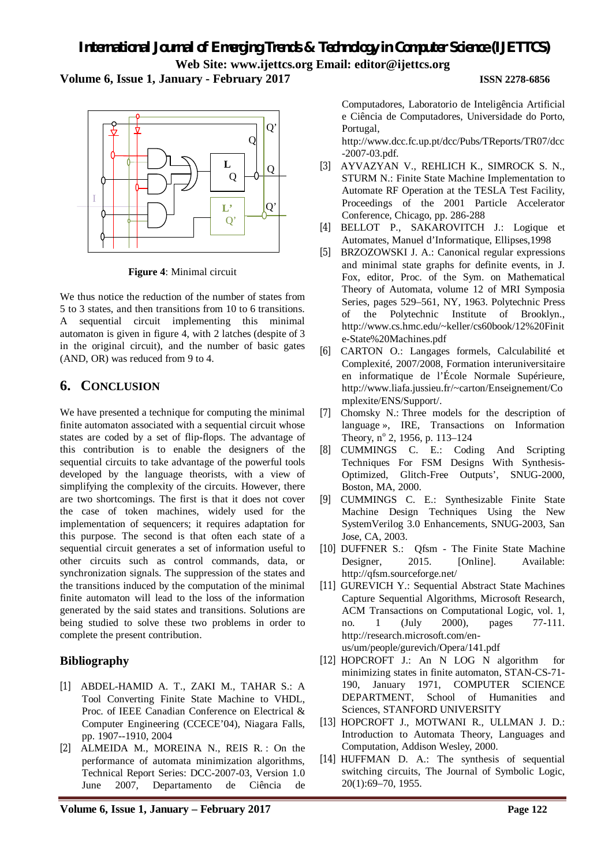**Volume 6, Issue 1, January - February 2017 ISSN 2278-6856**



**Figure 4**: Minimal circuit

We thus notice the reduction of the number of states from 5 to 3 states, and then transitions from 10 to 6 transitions. A sequential circuit implementing this minimal automaton is given in figure 4, with 2 latches (despite of 3 in the original circuit), and the number of basic gates (AND, OR) was reduced from 9 to 4.

# **6. CONCLUSION**

We have presented a technique for computing the minimal finite automaton associated with a sequential circuit whose states are coded by a set of flip-flops. The advantage of this contribution is to enable the designers of the sequential circuits to take advantage of the powerful tools developed by the language theorists, with a view of simplifying the complexity of the circuits. However, there are two shortcomings. The first is that it does not cover the case of token machines, widely used for the implementation of sequencers; it requires adaptation for this purpose. The second is that often each state of a sequential circuit generates a set of information useful to other circuits such as control commands, data, or synchronization signals. The suppression of the states and the transitions induced by the computation of the minimal finite automaton will lead to the loss of the information generated by the said states and transitions. Solutions are being studied to solve these two problems in order to complete the present contribution.

# **Bibliography**

- [1] ABDEL-HAMID A. T., ZAKI M., TAHAR S.: A Tool Converting Finite State Machine to VHDL, Proc. of IEEE Canadian Conference on Electrical & Computer Engineering (CCECE'04), Niagara Falls, pp. 1907--1910, 2004
- [2] ALMEIDA M., MOREINA N., REIS R. : On the performance of automata minimization algorithms, Technical Report Series: DCC-2007-03, Version 1.0 June 2007, Departamento de Ciência de

Computadores, Laboratorio de Inteligência Artificial e Ciência de Computadores, Universidade do Porto, Portugal,

<http://www.dcc.fc.up.pt/dcc/Pubs/TReports/TR07/dcc> -2007-03.pdf.

- [3] AYVAZYAN V., REHLICH K., SIMROCK S. N., STURM N.: Finite State Machine Implementation to Automate RF Operation at the TESLA Test Facility, Proceedings of the 2001 Particle Accelerator Conference, Chicago, pp. 286-288
- [4] BELLOT P., SAKAROVITCH J.: Logique et Automates, Manuel d'Informatique, Ellipses,1998
- [5] BRZOZOWSKI J. A.: Canonical regular expressions and minimal state graphs for definite events, in J. Fox, editor, Proc. of the Sym. on Mathematical Theory of Automata, volume 12 of MRI Symposia Series, pages 529–561, NY, 1963. Polytechnic Press of the Polytechnic Institute of Brooklyn., <http://www.cs.hmc.edu/~keller/cs60book/12%20Finit> e-State%20Machines.pdf
- [6] CARTON O.: Langages formels, Calculabilité et Complexité, 2007/2008, Formation interuniversitaire en informatique de l'École Normale Supérieure, <http://www.liafa.jussieu.fr/~carton/Enseignement/Co> mplexite/ENS/Support/.
- [7] Chomsky N.: Three models for the description of language », IRE, Transactions on Information Theory, nº 2, 1956, p. 113-124
- [8] CUMMINGS C. E.: Coding And Scripting Techniques For FSM Designs With Synthesis-Optimized, Glitch-Free Outputs', SNUG-2000, Boston, MA, 2000.
- [9] CUMMINGS C. E.: Synthesizable Finite State Machine Design Techniques Using the New SystemVerilog 3.0 Enhancements, SNUG-2003, San Jose, CA, 2003.
- [10] DUFFNER S.: Qfsm The Finite State Machine Designer, 2015. [Online]. Available: <http://qfsm.sourceforge.net/>
- [11] GUREVICH Y.: Sequential Abstract State Machines Capture Sequential Algorithms, Microsoft Research, ACM Transactions on Computational Logic, vol. 1, no. 1 (July 2000), pages 77-111. [http://research.microsoft.com/en](http://research.microsoft.com/en-)us/um/people/gurevich/Opera/141.pdf
- [12] HOPCROFT J.: An N LOG N algorithm for minimizing states in finite automaton, STAN-CS-71- 190, January 1971, COMPUTER SCIENCE DEPARTMENT, School of Humanities and Sciences, STANFORD UNIVERSITY
- [13] HOPCROFT J., MOTWANI R., ULLMAN J. D.: Introduction to Automata Theory, Languages and Computation, Addison Wesley, 2000.
- [14] HUFFMAN D. A.: The synthesis of sequential switching circuits, The Journal of Symbolic Logic, 20(1):69–70, 1955.